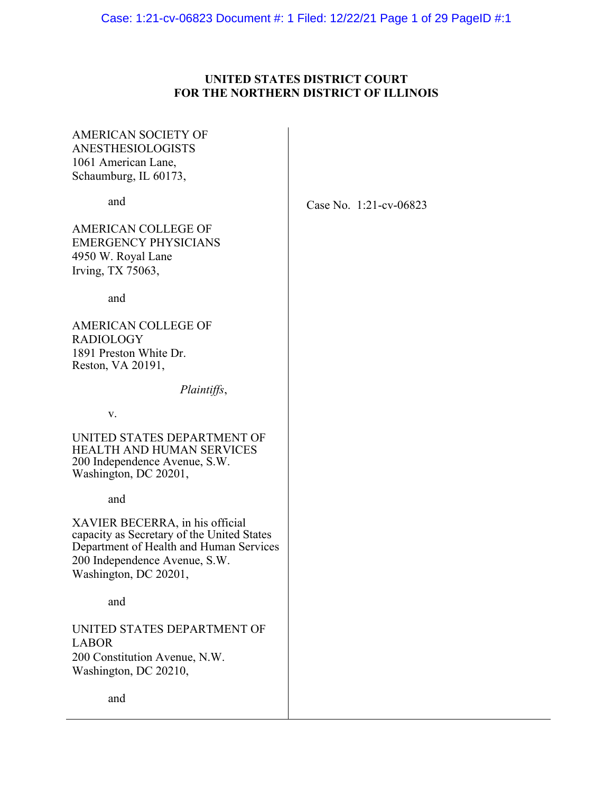Case: 1:21-cv-06823 Document #: 1 Filed: 12/22/21 Page 1 of 29 PageID #:1

# **UNITED STATES DISTRICT COURT FOR THE NORTHERN DISTRICT OF ILLINOIS**

AMERICAN SOCIETY OF ANESTHESIOLOGISTS 1061 American Lane, Schaumburg, IL 60173,

and

Case No. 1:21-cv-06823

AMERICAN COLLEGE OF EMERGENCY PHYSICIANS 4950 W. Royal Lane Irving, TX 75063,

and

AMERICAN COLLEGE OF RADIOLOGY 1891 Preston White Dr. Reston, VA 20191,

*Plaintiffs*,

v.

UNITED STATES DEPARTMENT OF HEALTH AND HUMAN SERVICES 200 Independence Avenue, S.W. Washington, DC 20201,

and

XAVIER BECERRA, in his official capacity as Secretary of the United States Department of Health and Human Services 200 Independence Avenue, S.W. Washington, DC 20201,

and

UNITED STATES DEPARTMENT OF LABOR 200 Constitution Avenue, N.W. Washington, DC 20210,

and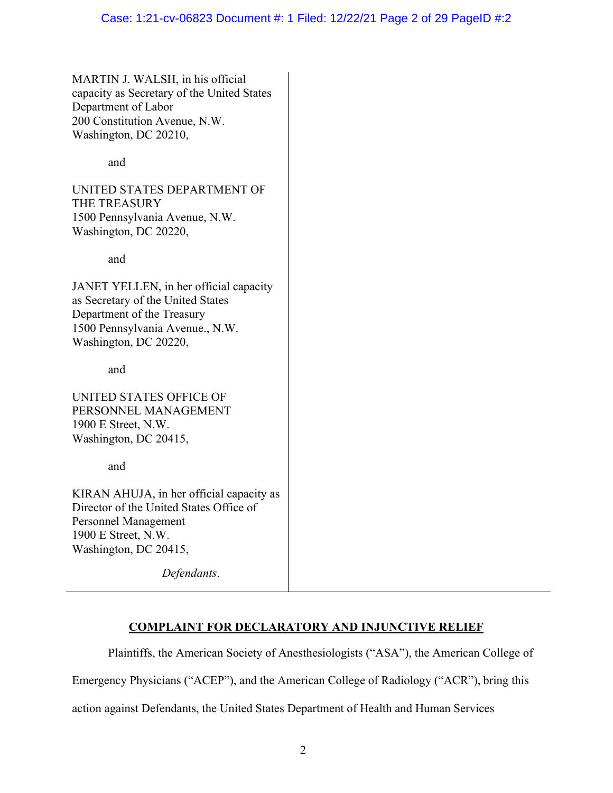MARTIN J. WALSH, in his official capacity as Secretary of the United States Department of Labor 200 Constitution Avenue, N.W. Washington, DC 20210,

and

UNITED STATES DEPARTMENT OF THE TREASURY 1500 Pennsylvania Avenue, N.W. Washington, DC 20220,

and

JANET YELLEN, in her official capacity as Secretary of the United States Department of the Treasury 1500 Pennsylvania Avenue., N.W. Washington, DC 20220,

and

UNITED STATES OFFICE OF PERSONNEL MANAGEMENT 1900 E Street, N.W. Washington, DC 20415,

and

KIRAN AHUJA, in her official capacity as Director of the United States Office of Personnel Management 1900 E Street, N.W. Washington, DC 20415,

*Defendants*.

# **COMPLAINT FOR DECLARATORY AND INJUNCTIVE RELIEF**

 Plaintiffs, the American Society of Anesthesiologists ("ASA"), the American College of Emergency Physicians ("ACEP"), and the American College of Radiology ("ACR"), bring this

action against Defendants, the United States Department of Health and Human Services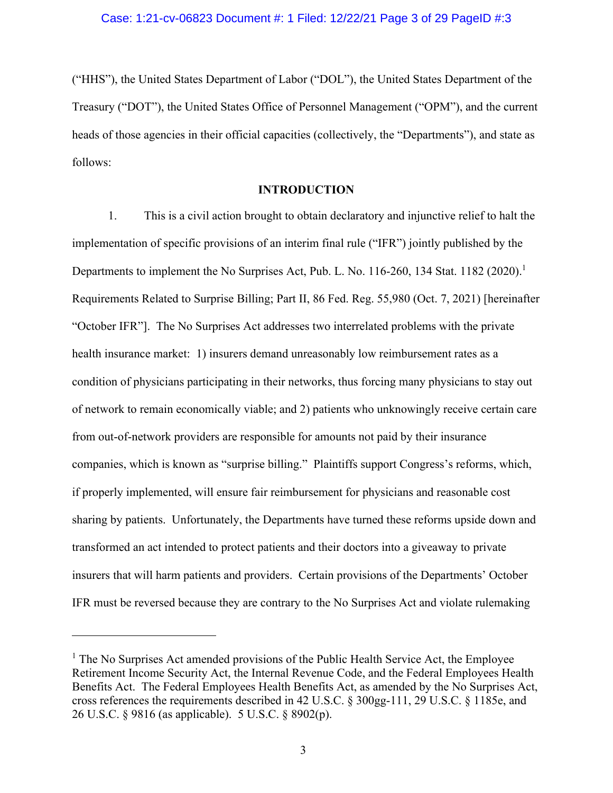("HHS"), the United States Department of Labor ("DOL"), the United States Department of the Treasury ("DOT"), the United States Office of Personnel Management ("OPM"), and the current heads of those agencies in their official capacities (collectively, the "Departments"), and state as follows:

# **INTRODUCTION**

1. This is a civil action brought to obtain declaratory and injunctive relief to halt the implementation of specific provisions of an interim final rule ("IFR") jointly published by the Departments to implement the No Surprises Act, Pub. L. No. 116-260, 134 Stat. 1182 (2020).<sup>1</sup> Requirements Related to Surprise Billing; Part II, 86 Fed. Reg. 55,980 (Oct. 7, 2021) [hereinafter "October IFR"]. The No Surprises Act addresses two interrelated problems with the private health insurance market: 1) insurers demand unreasonably low reimbursement rates as a condition of physicians participating in their networks, thus forcing many physicians to stay out of network to remain economically viable; and 2) patients who unknowingly receive certain care from out-of-network providers are responsible for amounts not paid by their insurance companies, which is known as "surprise billing." Plaintiffs support Congress's reforms, which, if properly implemented, will ensure fair reimbursement for physicians and reasonable cost sharing by patients. Unfortunately, the Departments have turned these reforms upside down and transformed an act intended to protect patients and their doctors into a giveaway to private insurers that will harm patients and providers. Certain provisions of the Departments' October IFR must be reversed because they are contrary to the No Surprises Act and violate rulemaking

<sup>&</sup>lt;sup>1</sup> The No Surprises Act amended provisions of the Public Health Service Act, the Employee Retirement Income Security Act, the Internal Revenue Code, and the Federal Employees Health Benefits Act. The Federal Employees Health Benefits Act, as amended by the No Surprises Act, cross references the requirements described in 42 U.S.C. § 300gg-111, 29 U.S.C. § 1185e, and 26 U.S.C. § 9816 (as applicable). 5 U.S.C. § 8902(p).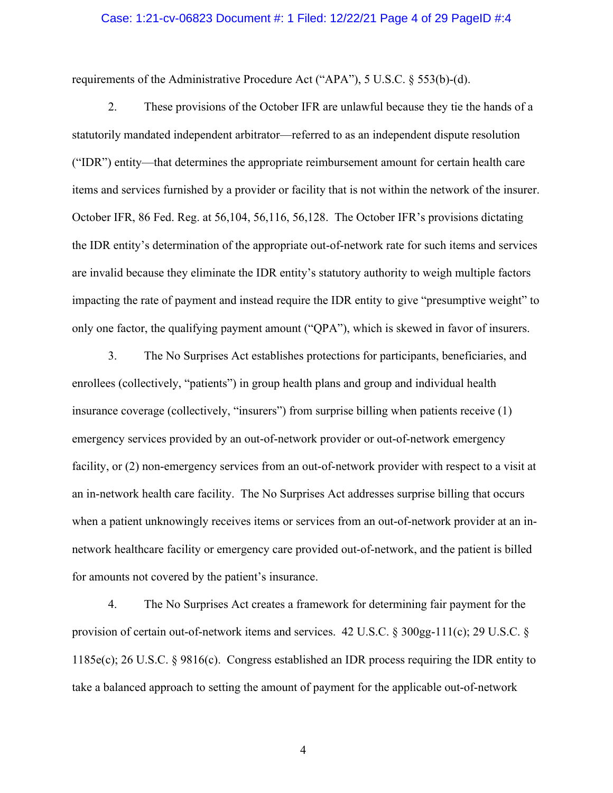#### Case: 1:21-cv-06823 Document #: 1 Filed: 12/22/21 Page 4 of 29 PageID #:4

requirements of the Administrative Procedure Act ("APA"), 5 U.S.C. § 553(b)-(d).

2. These provisions of the October IFR are unlawful because they tie the hands of a statutorily mandated independent arbitrator—referred to as an independent dispute resolution ("IDR") entity—that determines the appropriate reimbursement amount for certain health care items and services furnished by a provider or facility that is not within the network of the insurer. October IFR, 86 Fed. Reg. at 56,104, 56,116, 56,128. The October IFR's provisions dictating the IDR entity's determination of the appropriate out-of-network rate for such items and services are invalid because they eliminate the IDR entity's statutory authority to weigh multiple factors impacting the rate of payment and instead require the IDR entity to give "presumptive weight" to only one factor, the qualifying payment amount ("QPA"), which is skewed in favor of insurers.

3. The No Surprises Act establishes protections for participants, beneficiaries, and enrollees (collectively, "patients") in group health plans and group and individual health insurance coverage (collectively, "insurers") from surprise billing when patients receive (1) emergency services provided by an out-of-network provider or out-of-network emergency facility, or (2) non-emergency services from an out-of-network provider with respect to a visit at an in-network health care facility. The No Surprises Act addresses surprise billing that occurs when a patient unknowingly receives items or services from an out-of-network provider at an innetwork healthcare facility or emergency care provided out-of-network, and the patient is billed for amounts not covered by the patient's insurance.

4. The No Surprises Act creates a framework for determining fair payment for the provision of certain out-of-network items and services. 42 U.S.C. § 300gg-111(c); 29 U.S.C. § 1185e(c); 26 U.S.C. § 9816(c). Congress established an IDR process requiring the IDR entity to take a balanced approach to setting the amount of payment for the applicable out-of-network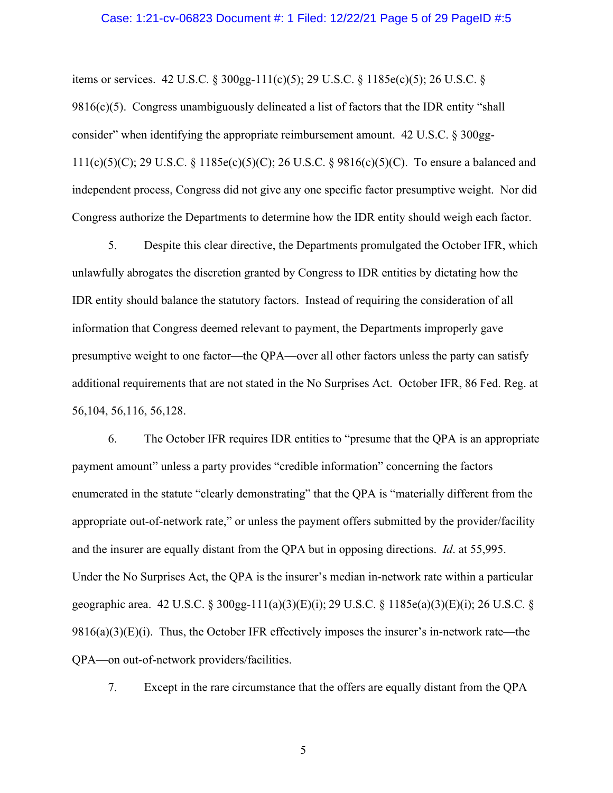#### Case: 1:21-cv-06823 Document #: 1 Filed: 12/22/21 Page 5 of 29 PageID #:5

items or services. 42 U.S.C. § 300gg-111(c)(5); 29 U.S.C. § 1185e(c)(5); 26 U.S.C. §

9816(c)(5). Congress unambiguously delineated a list of factors that the IDR entity "shall consider" when identifying the appropriate reimbursement amount. 42 U.S.C. § 300gg-111(c)(5)(C); 29 U.S.C. § 1185e(c)(5)(C); 26 U.S.C. § 9816(c)(5)(C). To ensure a balanced and independent process, Congress did not give any one specific factor presumptive weight. Nor did Congress authorize the Departments to determine how the IDR entity should weigh each factor.

5. Despite this clear directive, the Departments promulgated the October IFR, which unlawfully abrogates the discretion granted by Congress to IDR entities by dictating how the IDR entity should balance the statutory factors. Instead of requiring the consideration of all information that Congress deemed relevant to payment, the Departments improperly gave presumptive weight to one factor—the QPA—over all other factors unless the party can satisfy additional requirements that are not stated in the No Surprises Act. October IFR, 86 Fed. Reg. at 56,104, 56,116, 56,128.

6. The October IFR requires IDR entities to "presume that the QPA is an appropriate payment amount" unless a party provides "credible information" concerning the factors enumerated in the statute "clearly demonstrating" that the QPA is "materially different from the appropriate out-of-network rate," or unless the payment offers submitted by the provider/facility and the insurer are equally distant from the QPA but in opposing directions. *Id*. at 55,995. Under the No Surprises Act, the QPA is the insurer's median in-network rate within a particular geographic area. 42 U.S.C. § 300gg-111(a)(3)(E)(i); 29 U.S.C. § 1185e(a)(3)(E)(i); 26 U.S.C. §  $9816(a)(3)(E)(i)$ . Thus, the October IFR effectively imposes the insurer's in-network rate—the QPA—on out-of-network providers/facilities.

7. Except in the rare circumstance that the offers are equally distant from the QPA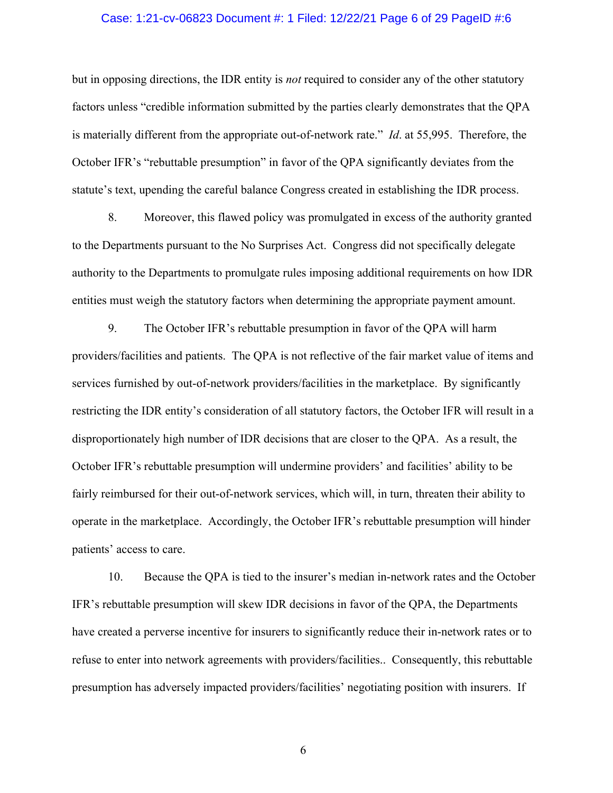#### Case: 1:21-cv-06823 Document #: 1 Filed: 12/22/21 Page 6 of 29 PageID #:6

but in opposing directions, the IDR entity is *not* required to consider any of the other statutory factors unless "credible information submitted by the parties clearly demonstrates that the QPA is materially different from the appropriate out-of-network rate." *Id*. at 55,995. Therefore, the October IFR's "rebuttable presumption" in favor of the QPA significantly deviates from the statute's text, upending the careful balance Congress created in establishing the IDR process.

8. Moreover, this flawed policy was promulgated in excess of the authority granted to the Departments pursuant to the No Surprises Act. Congress did not specifically delegate authority to the Departments to promulgate rules imposing additional requirements on how IDR entities must weigh the statutory factors when determining the appropriate payment amount.

9. The October IFR's rebuttable presumption in favor of the QPA will harm providers/facilities and patients. The QPA is not reflective of the fair market value of items and services furnished by out-of-network providers/facilities in the marketplace. By significantly restricting the IDR entity's consideration of all statutory factors, the October IFR will result in a disproportionately high number of IDR decisions that are closer to the QPA. As a result, the October IFR's rebuttable presumption will undermine providers' and facilities' ability to be fairly reimbursed for their out-of-network services, which will, in turn, threaten their ability to operate in the marketplace. Accordingly, the October IFR's rebuttable presumption will hinder patients' access to care.

10. Because the QPA is tied to the insurer's median in-network rates and the October IFR's rebuttable presumption will skew IDR decisions in favor of the QPA, the Departments have created a perverse incentive for insurers to significantly reduce their in-network rates or to refuse to enter into network agreements with providers/facilities.. Consequently, this rebuttable presumption has adversely impacted providers/facilities' negotiating position with insurers. If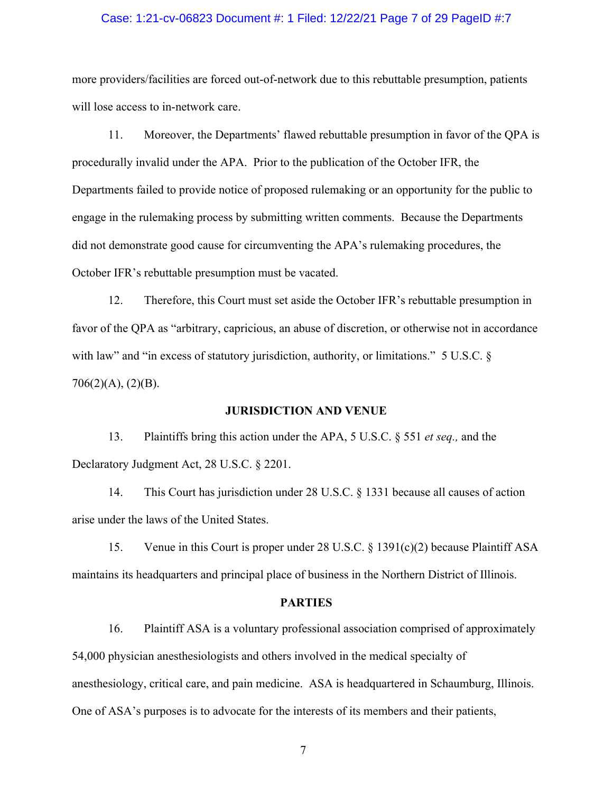#### Case: 1:21-cv-06823 Document #: 1 Filed: 12/22/21 Page 7 of 29 PageID #:7

more providers/facilities are forced out-of-network due to this rebuttable presumption, patients will lose access to in-network care.

11. Moreover, the Departments' flawed rebuttable presumption in favor of the QPA is procedurally invalid under the APA. Prior to the publication of the October IFR, the Departments failed to provide notice of proposed rulemaking or an opportunity for the public to engage in the rulemaking process by submitting written comments. Because the Departments did not demonstrate good cause for circumventing the APA's rulemaking procedures, the October IFR's rebuttable presumption must be vacated.

12. Therefore, this Court must set aside the October IFR's rebuttable presumption in favor of the QPA as "arbitrary, capricious, an abuse of discretion, or otherwise not in accordance with law" and "in excess of statutory jurisdiction, authority, or limitations." 5 U.S.C. §  $706(2)(A), (2)(B).$ 

#### **JURISDICTION AND VENUE**

13. Plaintiffs bring this action under the APA, 5 U.S.C. § 551 *et seq.,* and the Declaratory Judgment Act, 28 U.S.C. § 2201.

14. This Court has jurisdiction under 28 U.S.C. § 1331 because all causes of action arise under the laws of the United States.

15. Venue in this Court is proper under 28 U.S.C. § 1391(c)(2) because Plaintiff ASA maintains its headquarters and principal place of business in the Northern District of Illinois.

#### **PARTIES**

16. Plaintiff ASA is a voluntary professional association comprised of approximately 54,000 physician anesthesiologists and others involved in the medical specialty of anesthesiology, critical care, and pain medicine. ASA is headquartered in Schaumburg, Illinois. One of ASA's purposes is to advocate for the interests of its members and their patients,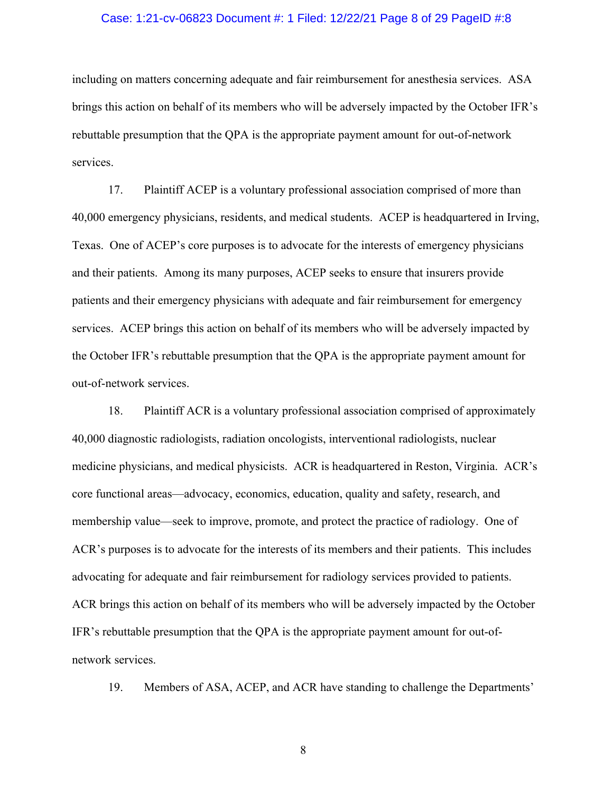#### Case: 1:21-cv-06823 Document #: 1 Filed: 12/22/21 Page 8 of 29 PageID #:8

including on matters concerning adequate and fair reimbursement for anesthesia services. ASA brings this action on behalf of its members who will be adversely impacted by the October IFR's rebuttable presumption that the QPA is the appropriate payment amount for out-of-network services.

17. Plaintiff ACEP is a voluntary professional association comprised of more than 40,000 emergency physicians, residents, and medical students. ACEP is headquartered in Irving, Texas. One of ACEP's core purposes is to advocate for the interests of emergency physicians and their patients. Among its many purposes, ACEP seeks to ensure that insurers provide patients and their emergency physicians with adequate and fair reimbursement for emergency services. ACEP brings this action on behalf of its members who will be adversely impacted by the October IFR's rebuttable presumption that the QPA is the appropriate payment amount for out-of-network services.

18. Plaintiff ACR is a voluntary professional association comprised of approximately 40,000 diagnostic radiologists, radiation oncologists, interventional radiologists, nuclear medicine physicians, and medical physicists. ACR is headquartered in Reston, Virginia. ACR's core functional areas—advocacy, economics, education, quality and safety, research, and membership value—seek to improve, promote, and protect the practice of radiology. One of ACR's purposes is to advocate for the interests of its members and their patients. This includes advocating for adequate and fair reimbursement for radiology services provided to patients. ACR brings this action on behalf of its members who will be adversely impacted by the October IFR's rebuttable presumption that the QPA is the appropriate payment amount for out-ofnetwork services.

19. Members of ASA, ACEP, and ACR have standing to challenge the Departments'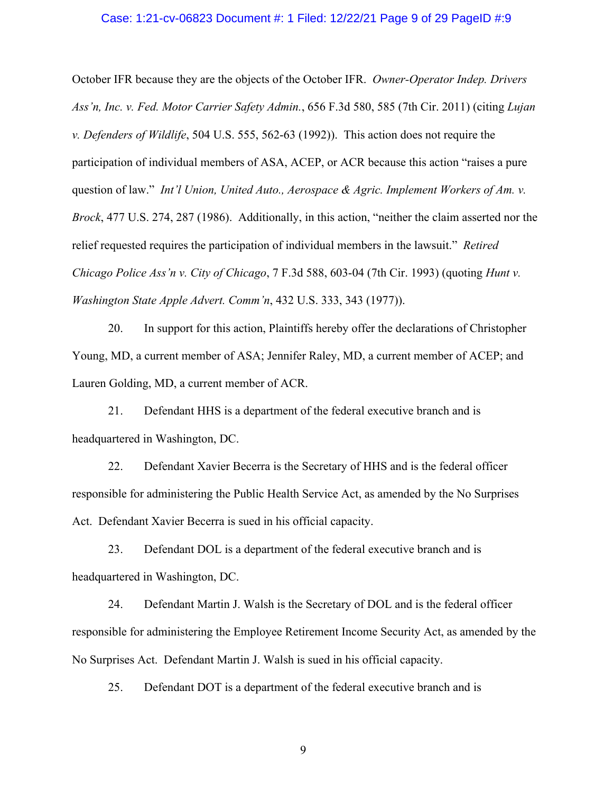#### Case: 1:21-cv-06823 Document #: 1 Filed: 12/22/21 Page 9 of 29 PageID #:9

October IFR because they are the objects of the October IFR. *Owner-Operator Indep. Drivers Ass'n, Inc. v. Fed. Motor Carrier Safety Admin.*, 656 F.3d 580, 585 (7th Cir. 2011) (citing *Lujan v. Defenders of Wildlife*, 504 U.S. 555, 562-63 (1992)). This action does not require the participation of individual members of ASA, ACEP, or ACR because this action "raises a pure question of law." *Int'l Union, United Auto., Aerospace & Agric. Implement Workers of Am. v. Brock*, 477 U.S. 274, 287 (1986). Additionally, in this action, "neither the claim asserted nor the relief requested requires the participation of individual members in the lawsuit." *Retired Chicago Police Ass'n v. City of Chicago*, 7 F.3d 588, 603-04 (7th Cir. 1993) (quoting *Hunt v. Washington State Apple Advert. Comm'n*, 432 U.S. 333, 343 (1977)).

20. In support for this action, Plaintiffs hereby offer the declarations of Christopher Young, MD, a current member of ASA; Jennifer Raley, MD, a current member of ACEP; and Lauren Golding, MD, a current member of ACR.

21. Defendant HHS is a department of the federal executive branch and is headquartered in Washington, DC.

22. Defendant Xavier Becerra is the Secretary of HHS and is the federal officer responsible for administering the Public Health Service Act, as amended by the No Surprises Act. Defendant Xavier Becerra is sued in his official capacity.

23. Defendant DOL is a department of the federal executive branch and is headquartered in Washington, DC.

24. Defendant Martin J. Walsh is the Secretary of DOL and is the federal officer responsible for administering the Employee Retirement Income Security Act, as amended by the No Surprises Act. Defendant Martin J. Walsh is sued in his official capacity.

25. Defendant DOT is a department of the federal executive branch and is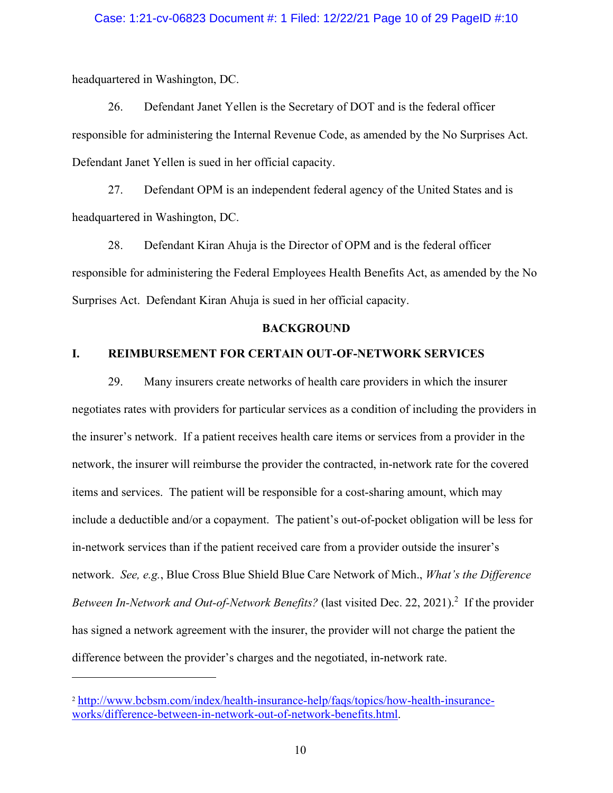#### Case: 1:21-cv-06823 Document #: 1 Filed: 12/22/21 Page 10 of 29 PageID #:10

headquartered in Washington, DC.

26. Defendant Janet Yellen is the Secretary of DOT and is the federal officer responsible for administering the Internal Revenue Code, as amended by the No Surprises Act. Defendant Janet Yellen is sued in her official capacity.

27. Defendant OPM is an independent federal agency of the United States and is headquartered in Washington, DC.

28. Defendant Kiran Ahuja is the Director of OPM and is the federal officer responsible for administering the Federal Employees Health Benefits Act, as amended by the No Surprises Act. Defendant Kiran Ahuja is sued in her official capacity.

#### **BACKGROUND**

### **I. REIMBURSEMENT FOR CERTAIN OUT-OF-NETWORK SERVICES**

29. Many insurers create networks of health care providers in which the insurer negotiates rates with providers for particular services as a condition of including the providers in the insurer's network. If a patient receives health care items or services from a provider in the network, the insurer will reimburse the provider the contracted, in-network rate for the covered items and services. The patient will be responsible for a cost-sharing amount, which may include a deductible and/or a copayment. The patient's out-of-pocket obligation will be less for in-network services than if the patient received care from a provider outside the insurer's network. *See, e.g.*, Blue Cross Blue Shield Blue Care Network of Mich., *What's the Difference*  Between In-Network and Out-of-Network Benefits? (last visited Dec. 22, 2021).<sup>2</sup> If the provider has signed a network agreement with the insurer, the provider will not charge the patient the difference between the provider's charges and the negotiated, in-network rate.

<sup>2</sup> http://www.bcbsm.com/index/health-insurance-help/faqs/topics/how-health-insuranceworks/difference-between-in-network-out-of-network-benefits.html.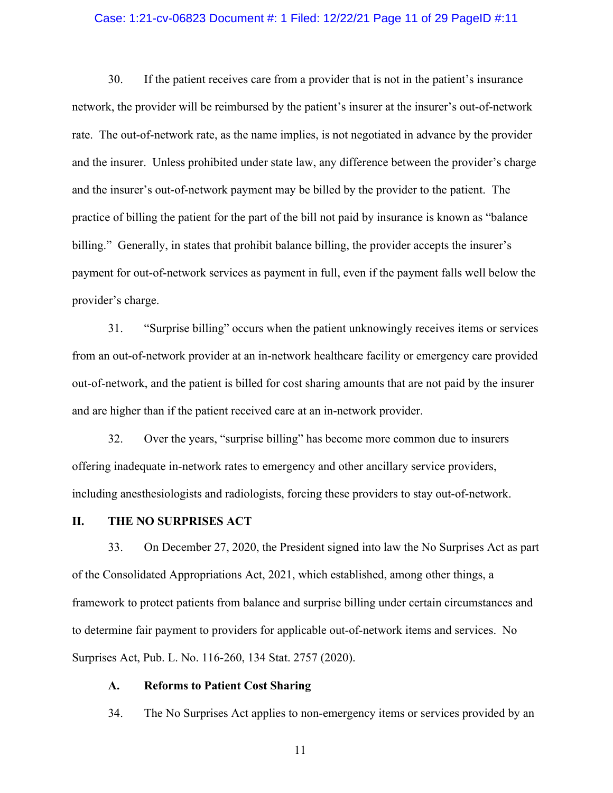#### Case: 1:21-cv-06823 Document #: 1 Filed: 12/22/21 Page 11 of 29 PageID #:11

30. If the patient receives care from a provider that is not in the patient's insurance network, the provider will be reimbursed by the patient's insurer at the insurer's out-of-network rate. The out-of-network rate, as the name implies, is not negotiated in advance by the provider and the insurer. Unless prohibited under state law, any difference between the provider's charge and the insurer's out-of-network payment may be billed by the provider to the patient. The practice of billing the patient for the part of the bill not paid by insurance is known as "balance billing." Generally, in states that prohibit balance billing, the provider accepts the insurer's payment for out-of-network services as payment in full, even if the payment falls well below the provider's charge.

31. "Surprise billing" occurs when the patient unknowingly receives items or services from an out-of-network provider at an in-network healthcare facility or emergency care provided out-of-network, and the patient is billed for cost sharing amounts that are not paid by the insurer and are higher than if the patient received care at an in-network provider.

32. Over the years, "surprise billing" has become more common due to insurers offering inadequate in-network rates to emergency and other ancillary service providers, including anesthesiologists and radiologists, forcing these providers to stay out-of-network.

#### **II. THE NO SURPRISES ACT**

33. On December 27, 2020, the President signed into law the No Surprises Act as part of the Consolidated Appropriations Act, 2021, which established, among other things, a framework to protect patients from balance and surprise billing under certain circumstances and to determine fair payment to providers for applicable out-of-network items and services. No Surprises Act, Pub. L. No. 116-260, 134 Stat. 2757 (2020).

### **A. Reforms to Patient Cost Sharing**

34. The No Surprises Act applies to non-emergency items or services provided by an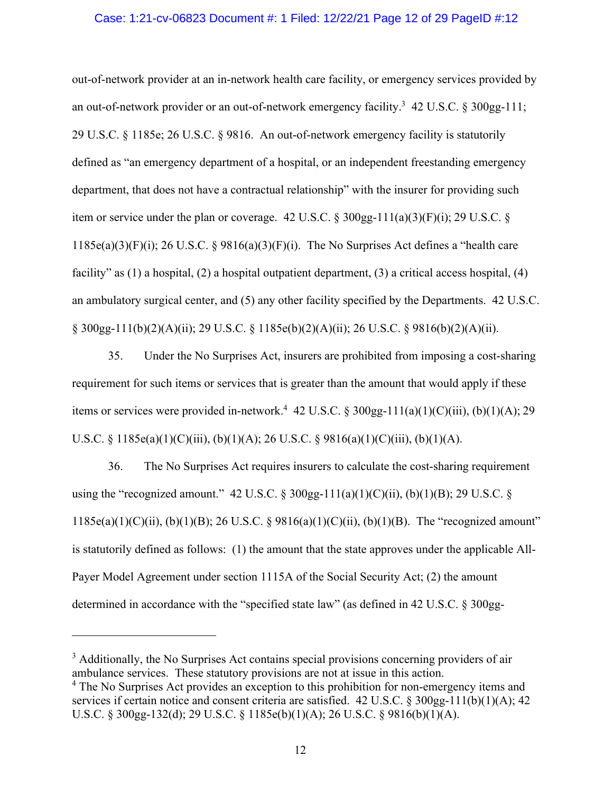#### Case: 1:21-cv-06823 Document #: 1 Filed: 12/22/21 Page 12 of 29 PageID #:12

out-of-network provider at an in-network health care facility, or emergency services provided by an out-of-network provider or an out-of-network emergency facility.<sup>3</sup> 42 U.S.C. § 300gg-111; 29 U.S.C. § 1185e; 26 U.S.C. § 9816. An out-of-network emergency facility is statutorily defined as "an emergency department of a hospital, or an independent freestanding emergency department, that does not have a contractual relationship" with the insurer for providing such item or service under the plan or coverage. 42 U.S.C.  $\S 300gg-111(a)(3)(F)(i)$ ; 29 U.S.C.  $\S$  $1185e(a)(3)(F)(i)$ ; 26 U.S.C. § 9816(a)(3)(F)(i). The No Surprises Act defines a "health care facility" as (1) a hospital, (2) a hospital outpatient department, (3) a critical access hospital, (4) an ambulatory surgical center, and (5) any other facility specified by the Departments. 42 U.S.C. § 300gg-111(b)(2)(A)(ii); 29 U.S.C. § 1185e(b)(2)(A)(ii); 26 U.S.C. § 9816(b)(2)(A)(ii).

35. Under the No Surprises Act, insurers are prohibited from imposing a cost-sharing requirement for such items or services that is greater than the amount that would apply if these items or services were provided in-network.<sup>4</sup> 42 U.S.C. § 300gg-111(a)(1)(C)(iii), (b)(1)(A); 29 U.S.C. § 1185e(a)(1)(C)(iii), (b)(1)(A); 26 U.S.C. § 9816(a)(1)(C)(iii), (b)(1)(A).

36. The No Surprises Act requires insurers to calculate the cost-sharing requirement using the "recognized amount." 42 U.S.C. § 300gg-111(a)(1)(C)(ii), (b)(1)(B); 29 U.S.C. § 1185e(a)(1)(C)(ii), (b)(1)(B); 26 U.S.C. § 9816(a)(1)(C)(ii), (b)(1)(B). The "recognized amount" is statutorily defined as follows: (1) the amount that the state approves under the applicable All-Payer Model Agreement under section 1115A of the Social Security Act; (2) the amount determined in accordance with the "specified state law" (as defined in 42 U.S.C. § 300gg-

<sup>&</sup>lt;sup>3</sup> Additionally, the No Surprises Act contains special provisions concerning providers of air ambulance services. These statutory provisions are not at issue in this action.

<sup>&</sup>lt;sup>4</sup> The No Surprises Act provides an exception to this prohibition for non-emergency items and services if certain notice and consent criteria are satisfied. 42 U.S.C. § 300gg-111(b)(1)(A); 42 U.S.C. § 300gg-132(d); 29 U.S.C. § 1185e(b)(1)(A); 26 U.S.C. § 9816(b)(1)(A).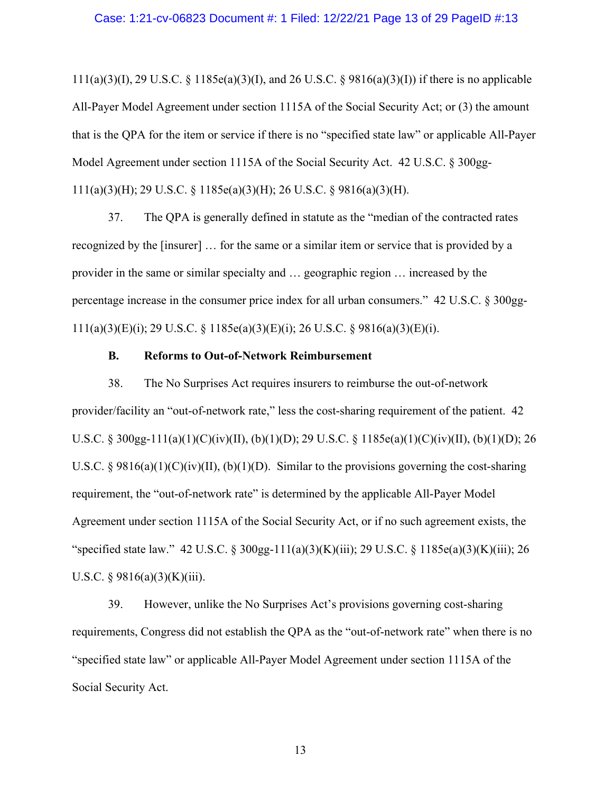111(a)(3)(I), 29 U.S.C. § 1185e(a)(3)(I), and 26 U.S.C. § 9816(a)(3)(I)) if there is no applicable All-Payer Model Agreement under section 1115A of the Social Security Act; or (3) the amount that is the QPA for the item or service if there is no "specified state law" or applicable All-Payer Model Agreement under section 1115A of the Social Security Act. 42 U.S.C. § 300gg-111(a)(3)(H); 29 U.S.C. § 1185e(a)(3)(H); 26 U.S.C. § 9816(a)(3)(H).

37. The QPA is generally defined in statute as the "median of the contracted rates recognized by the [insurer] … for the same or a similar item or service that is provided by a provider in the same or similar specialty and … geographic region … increased by the percentage increase in the consumer price index for all urban consumers." 42 U.S.C. § 300gg-111(a)(3)(E)(i); 29 U.S.C. § 1185e(a)(3)(E)(i); 26 U.S.C. § 9816(a)(3)(E)(i).

#### **B. Reforms to Out-of-Network Reimbursement**

38. The No Surprises Act requires insurers to reimburse the out-of-network provider/facility an "out-of-network rate," less the cost-sharing requirement of the patient. 42 U.S.C. § 300gg-111(a)(1)(C)(iv)(II), (b)(1)(D); 29 U.S.C. § 1185e(a)(1)(C)(iv)(II), (b)(1)(D); 26 U.S.C. § 9816(a)(1)(C)(iv)(II), (b)(1)(D). Similar to the provisions governing the cost-sharing requirement, the "out-of-network rate" is determined by the applicable All-Payer Model Agreement under section 1115A of the Social Security Act, or if no such agreement exists, the "specified state law." 42 U.S.C. § 300gg-111(a)(3)(K)(iii); 29 U.S.C. § 1185e(a)(3)(K)(iii); 26 U.S.C. §  $9816(a)(3)(K)(iii)$ .

39. However, unlike the No Surprises Act's provisions governing cost-sharing requirements, Congress did not establish the QPA as the "out-of-network rate" when there is no "specified state law" or applicable All-Payer Model Agreement under section 1115A of the Social Security Act.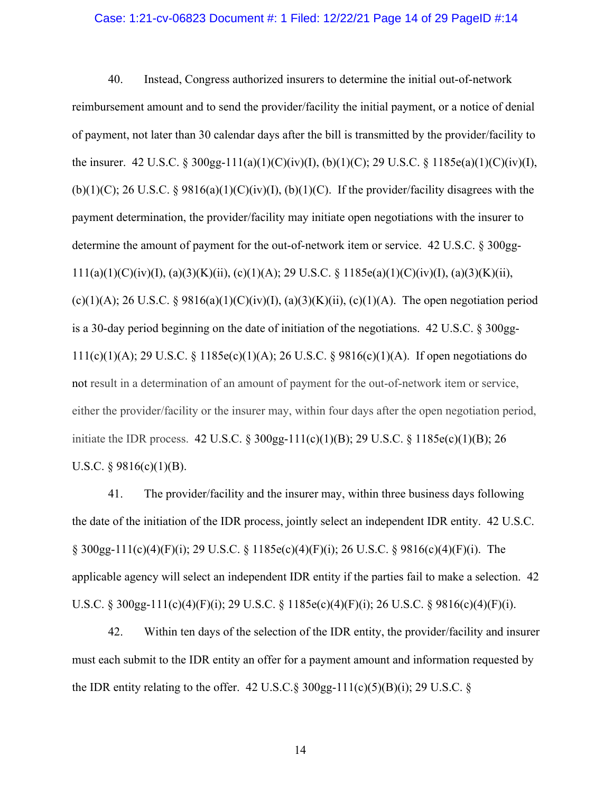#### Case: 1:21-cv-06823 Document #: 1 Filed: 12/22/21 Page 14 of 29 PageID #:14

40. Instead, Congress authorized insurers to determine the initial out-of-network reimbursement amount and to send the provider/facility the initial payment, or a notice of denial of payment, not later than 30 calendar days after the bill is transmitted by the provider/facility to the insurer. 42 U.S.C. § 300gg-111(a)(1)(C)(iv)(I), (b)(1)(C); 29 U.S.C. § 1185e(a)(1)(C)(iv)(I), (b)(1)(C); 26 U.S.C. § 9816(a)(1)(C)(iv)(I), (b)(1)(C). If the provider/facility disagrees with the payment determination, the provider/facility may initiate open negotiations with the insurer to determine the amount of payment for the out-of-network item or service. 42 U.S.C. § 300gg-111(a)(1)(C)(iv)(I), (a)(3)(K)(ii), (c)(1)(A); 29 U.S.C. § 1185e(a)(1)(C)(iv)(I), (a)(3)(K)(ii), (c)(1)(A); 26 U.S.C. § 9816(a)(1)(C)(iv)(I), (a)(3)(K)(ii), (c)(1)(A). The open negotiation period is a 30-day period beginning on the date of initiation of the negotiations. 42 U.S.C. § 300gg-111(c)(1)(A); 29 U.S.C. § 1185e(c)(1)(A); 26 U.S.C. § 9816(c)(1)(A). If open negotiations do not result in a determination of an amount of payment for the out-of-network item or service, either the provider/facility or the insurer may, within four days after the open negotiation period, initiate the IDR process.42 U.S.C. § 300gg-111(c)(1)(B); 29 U.S.C. § 1185e(c)(1)(B); 26 U.S.C.  $\S$  9816(c)(1)(B).

41. The provider/facility and the insurer may, within three business days following the date of the initiation of the IDR process, jointly select an independent IDR entity.42 U.S.C. § 300gg-111(c)(4)(F)(i); 29 U.S.C. § 1185e(c)(4)(F)(i); 26 U.S.C. § 9816(c)(4)(F)(i). The applicable agency will select an independent IDR entity if the parties fail to make a selection.42 U.S.C. § 300gg-111(c)(4)(F)(i); 29 U.S.C. § 1185e(c)(4)(F)(i); 26 U.S.C. § 9816(c)(4)(F)(i).

42. Within ten days of the selection of the IDR entity, the provider/facility and insurer must each submit to the IDR entity an offer for a payment amount and information requested by the IDR entity relating to the offer.  $42 \text{ U.S.C.}$ §  $300 \text{gg-}111(c)(5)(B)(i)$ ; 29 U.S.C. §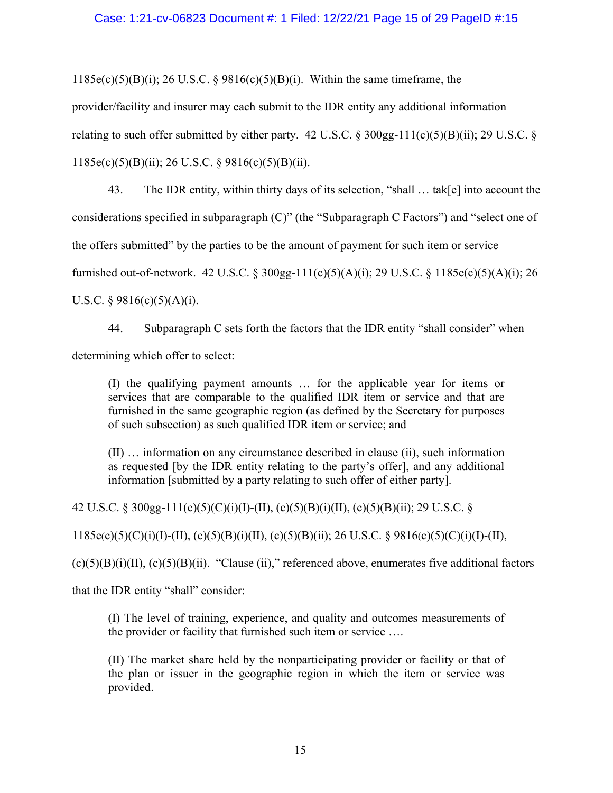### Case: 1:21-cv-06823 Document #: 1 Filed: 12/22/21 Page 15 of 29 PageID #:15

 $1185e(c)(5)(B)(i)$ ; 26 U.S.C. § 9816(c)(5)(B)(i). Within the same timeframe, the

provider/facility and insurer may each submit to the IDR entity any additional information

relating to such offer submitted by either party.  $42 \text{ U.S.C.}$  §  $300 \text{gg-}111(c)(5)(B)(ii)$ ; 29 U.S.C. §

1185e(c)(5)(B)(ii); 26 U.S.C. § 9816(c)(5)(B)(ii).

43. The IDR entity, within thirty days of its selection, "shall … tak[e] into account the considerations specified in subparagraph (C)" (the "Subparagraph C Factors") and "select one of the offers submitted" by the parties to be the amount of payment for such item or service furnished out-of-network. 42 U.S.C. § 300gg-111(c)(5)(A)(i); 29 U.S.C. § 1185e(c)(5)(A)(i); 26 U.S.C. §  $9816(c)(5)(A)(i)$ .

44. Subparagraph C sets forth the factors that the IDR entity "shall consider" when determining which offer to select:

(I) the qualifying payment amounts … for the applicable year for items or services that are comparable to the qualified IDR item or service and that are furnished in the same geographic region (as defined by the Secretary for purposes of such subsection) as such qualified IDR item or service; and

(II) … information on any circumstance described in clause (ii), such information as requested [by the IDR entity relating to the party's offer], and any additional information [submitted by a party relating to such offer of either party].

42 U.S.C. § 300gg-111(c)(5)(C)(i)(I)-(II), (c)(5)(B)(i)(II), (c)(5)(B)(ii); 29 U.S.C. §

 $1185e(c)(5)(C)(i)(I)-(II), (c)(5)(B)(i)(II), (c)(5)(B)(ii); 26 U.S.C. § 9816(c)(5)(C)(i)(I)-(II),$ 

 $(c)(5)(B)(i)(II), (c)(5)(B)(ii)$ . "Clause (ii)," referenced above, enumerates five additional factors

that the IDR entity "shall" consider:

(I) The level of training, experience, and quality and outcomes measurements of the provider or facility that furnished such item or service ….

(II) The market share held by the nonparticipating provider or facility or that of the plan or issuer in the geographic region in which the item or service was provided.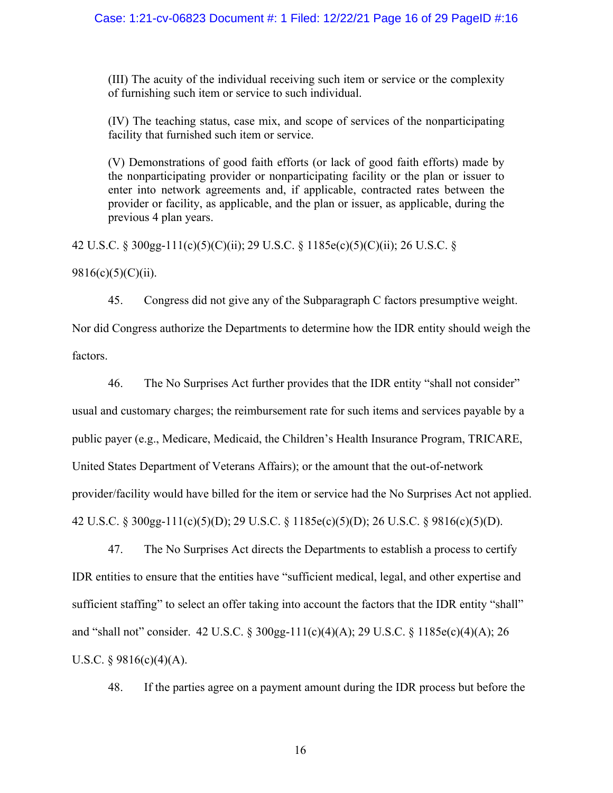(III) The acuity of the individual receiving such item or service or the complexity of furnishing such item or service to such individual.

(IV) The teaching status, case mix, and scope of services of the nonparticipating facility that furnished such item or service.

(V) Demonstrations of good faith efforts (or lack of good faith efforts) made by the nonparticipating provider or nonparticipating facility or the plan or issuer to enter into network agreements and, if applicable, contracted rates between the provider or facility, as applicable, and the plan or issuer, as applicable, during the previous 4 plan years.

42 U.S.C. § 300gg-111(c)(5)(C)(ii); 29 U.S.C. § 1185e(c)(5)(C)(ii); 26 U.S.C. §

9816(c)(5)(C)(ii).

45. Congress did not give any of the Subparagraph C factors presumptive weight.

Nor did Congress authorize the Departments to determine how the IDR entity should weigh the factors.

46. The No Surprises Act further provides that the IDR entity "shall not consider" usual and customary charges; the reimbursement rate for such items and services payable by a public payer (e.g., Medicare, Medicaid, the Children's Health Insurance Program, TRICARE, United States Department of Veterans Affairs); or the amount that the out-of-network provider/facility would have billed for the item or service had the No Surprises Act not applied. 42 U.S.C. § 300gg-111(c)(5)(D); 29 U.S.C. § 1185e(c)(5)(D); 26 U.S.C. § 9816(c)(5)(D).

47. The No Surprises Act directs the Departments to establish a process to certify IDR entities to ensure that the entities have "sufficient medical, legal, and other expertise and sufficient staffing" to select an offer taking into account the factors that the IDR entity "shall" and "shall not" consider. 42 U.S.C. § 300gg-111(c)(4)(A); 29 U.S.C. § 1185e(c)(4)(A); 26 U.S.C.  $\S$  9816(c)(4)(A).

48. If the parties agree on a payment amount during the IDR process but before the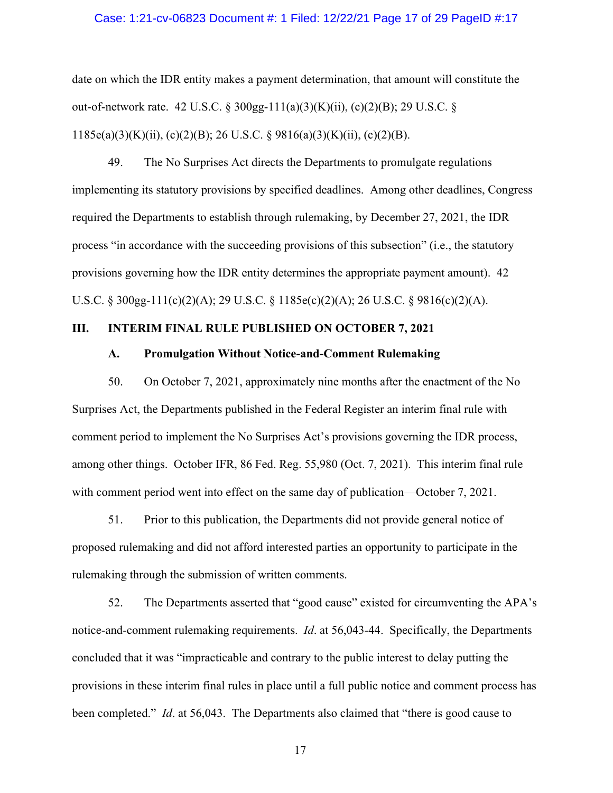#### Case: 1:21-cv-06823 Document #: 1 Filed: 12/22/21 Page 17 of 29 PageID #:17

date on which the IDR entity makes a payment determination, that amount will constitute the out-of-network rate. 42 U.S.C. § 300gg-111(a)(3)(K)(ii), (c)(2)(B); 29 U.S.C. § 1185e(a)(3)(K)(ii), (c)(2)(B); 26 U.S.C. § 9816(a)(3)(K)(ii), (c)(2)(B).

49. The No Surprises Act directs the Departments to promulgate regulations implementing its statutory provisions by specified deadlines. Among other deadlines, Congress required the Departments to establish through rulemaking, by December 27, 2021, the IDR process "in accordance with the succeeding provisions of this subsection" (i.e., the statutory provisions governing how the IDR entity determines the appropriate payment amount). 42 U.S.C. § 300gg-111(c)(2)(A); 29 U.S.C. § 1185e(c)(2)(A); 26 U.S.C. § 9816(c)(2)(A).

### **III. INTERIM FINAL RULE PUBLISHED ON OCTOBER 7, 2021**

### **A. Promulgation Without Notice-and-Comment Rulemaking**

50. On October 7, 2021, approximately nine months after the enactment of the No Surprises Act, the Departments published in the Federal Register an interim final rule with comment period to implement the No Surprises Act's provisions governing the IDR process, among other things. October IFR, 86 Fed. Reg. 55,980 (Oct. 7, 2021). This interim final rule with comment period went into effect on the same day of publication—October 7, 2021.

51. Prior to this publication, the Departments did not provide general notice of proposed rulemaking and did not afford interested parties an opportunity to participate in the rulemaking through the submission of written comments.

52. The Departments asserted that "good cause" existed for circumventing the APA's notice-and-comment rulemaking requirements. *Id*. at 56,043-44. Specifically, the Departments concluded that it was "impracticable and contrary to the public interest to delay putting the provisions in these interim final rules in place until a full public notice and comment process has been completed." *Id*. at 56,043. The Departments also claimed that "there is good cause to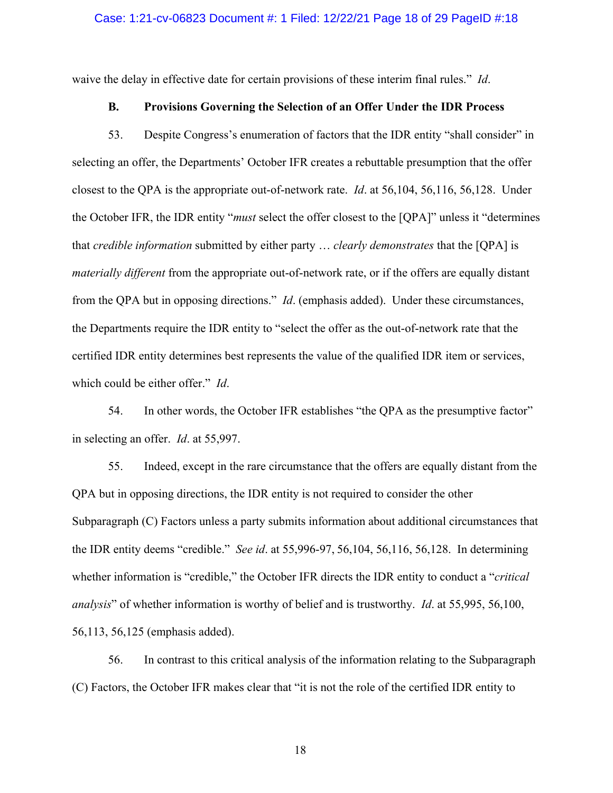#### Case: 1:21-cv-06823 Document #: 1 Filed: 12/22/21 Page 18 of 29 PageID #:18

waive the delay in effective date for certain provisions of these interim final rules." *Id*.

# **B. Provisions Governing the Selection of an Offer Under the IDR Process**

53. Despite Congress's enumeration of factors that the IDR entity "shall consider" in selecting an offer, the Departments' October IFR creates a rebuttable presumption that the offer closest to the QPA is the appropriate out-of-network rate. *Id*. at 56,104, 56,116, 56,128. Under the October IFR, the IDR entity "*must* select the offer closest to the [QPA]" unless it "determines that *credible information* submitted by either party … *clearly demonstrates* that the [QPA] is *materially different* from the appropriate out-of-network rate, or if the offers are equally distant from the QPA but in opposing directions." *Id*. (emphasis added). Under these circumstances, the Departments require the IDR entity to "select the offer as the out-of-network rate that the certified IDR entity determines best represents the value of the qualified IDR item or services, which could be either offer." *Id*.

54. In other words, the October IFR establishes "the QPA as the presumptive factor" in selecting an offer. *Id*. at 55,997.

55. Indeed, except in the rare circumstance that the offers are equally distant from the QPA but in opposing directions, the IDR entity is not required to consider the other Subparagraph (C) Factors unless a party submits information about additional circumstances that the IDR entity deems "credible." *See id*. at 55,996-97, 56,104, 56,116, 56,128. In determining whether information is "credible," the October IFR directs the IDR entity to conduct a "*critical analysis*" of whether information is worthy of belief and is trustworthy. *Id*. at 55,995, 56,100, 56,113, 56,125 (emphasis added).

56. In contrast to this critical analysis of the information relating to the Subparagraph (C) Factors, the October IFR makes clear that "it is not the role of the certified IDR entity to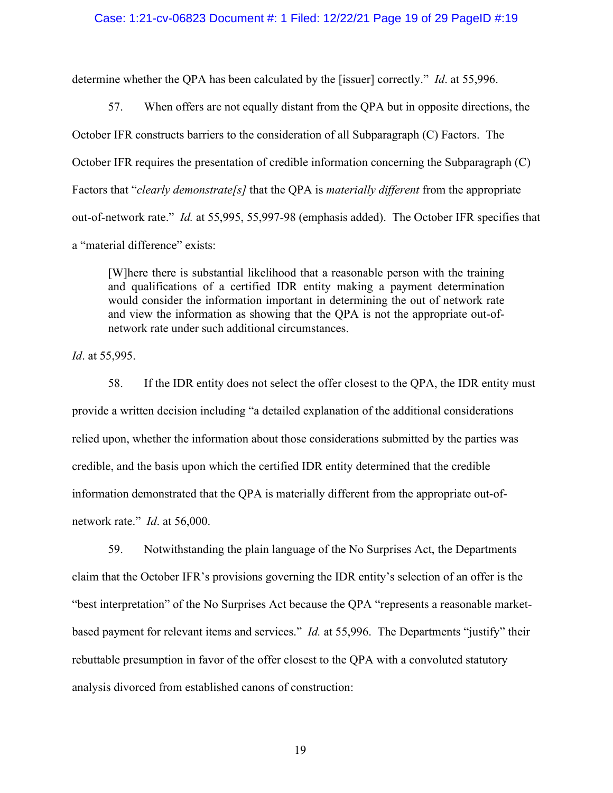#### Case: 1:21-cv-06823 Document #: 1 Filed: 12/22/21 Page 19 of 29 PageID #:19

determine whether the QPA has been calculated by the [issuer] correctly." *Id*. at 55,996.

57. When offers are not equally distant from the QPA but in opposite directions, the October IFR constructs barriers to the consideration of all Subparagraph (C) Factors. The October IFR requires the presentation of credible information concerning the Subparagraph (C) Factors that "*clearly demonstrate[s]* that the QPA is *materially different* from the appropriate out-of-network rate." *Id.* at 55,995, 55,997-98 (emphasis added). The October IFR specifies that a "material difference" exists:

[W]here there is substantial likelihood that a reasonable person with the training and qualifications of a certified IDR entity making a payment determination would consider the information important in determining the out of network rate and view the information as showing that the QPA is not the appropriate out-ofnetwork rate under such additional circumstances.

*Id*. at 55,995.

58. If the IDR entity does not select the offer closest to the QPA, the IDR entity must provide a written decision including "a detailed explanation of the additional considerations relied upon, whether the information about those considerations submitted by the parties was credible, and the basis upon which the certified IDR entity determined that the credible information demonstrated that the QPA is materially different from the appropriate out-ofnetwork rate." *Id*. at 56,000.

59. Notwithstanding the plain language of the No Surprises Act, the Departments claim that the October IFR's provisions governing the IDR entity's selection of an offer is the "best interpretation" of the No Surprises Act because the QPA "represents a reasonable marketbased payment for relevant items and services." *Id.* at 55,996. The Departments "justify" their rebuttable presumption in favor of the offer closest to the QPA with a convoluted statutory analysis divorced from established canons of construction: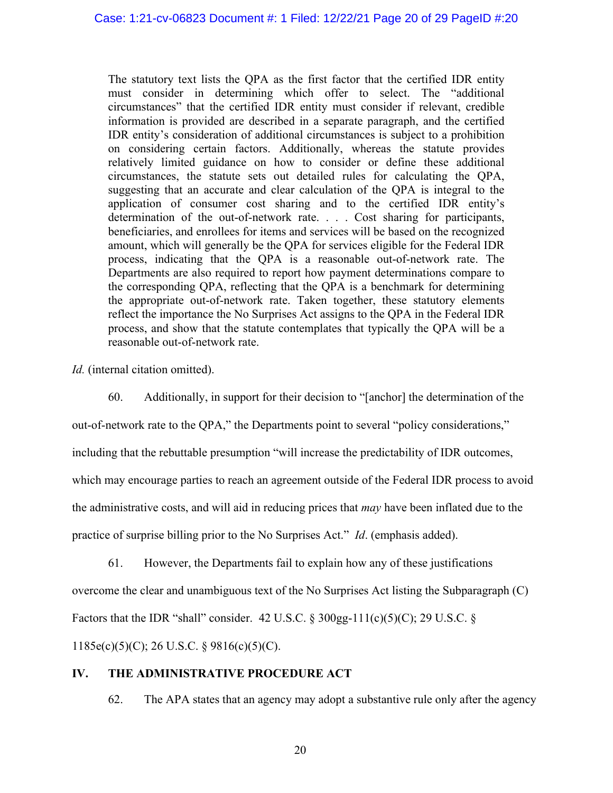The statutory text lists the QPA as the first factor that the certified IDR entity must consider in determining which offer to select. The "additional circumstances" that the certified IDR entity must consider if relevant, credible information is provided are described in a separate paragraph, and the certified IDR entity's consideration of additional circumstances is subject to a prohibition on considering certain factors. Additionally, whereas the statute provides relatively limited guidance on how to consider or define these additional circumstances, the statute sets out detailed rules for calculating the QPA, suggesting that an accurate and clear calculation of the QPA is integral to the application of consumer cost sharing and to the certified IDR entity's determination of the out-of-network rate. . . . Cost sharing for participants, beneficiaries, and enrollees for items and services will be based on the recognized amount, which will generally be the QPA for services eligible for the Federal IDR process, indicating that the QPA is a reasonable out-of-network rate. The Departments are also required to report how payment determinations compare to the corresponding QPA, reflecting that the QPA is a benchmark for determining the appropriate out-of-network rate. Taken together, these statutory elements reflect the importance the No Surprises Act assigns to the QPA in the Federal IDR process, and show that the statute contemplates that typically the QPA will be a reasonable out-of-network rate.

*Id.* (internal citation omitted).

60. Additionally, in support for their decision to "[anchor] the determination of the

out-of-network rate to the QPA," the Departments point to several "policy considerations,"

including that the rebuttable presumption "will increase the predictability of IDR outcomes,

which may encourage parties to reach an agreement outside of the Federal IDR process to avoid

the administrative costs, and will aid in reducing prices that *may* have been inflated due to the

practice of surprise billing prior to the No Surprises Act." *Id*. (emphasis added).

61. However, the Departments fail to explain how any of these justifications

overcome the clear and unambiguous text of the No Surprises Act listing the Subparagraph (C)

Factors that the IDR "shall" consider. 42 U.S.C.  $\frac{1}{2}$  300gg-111(c)(5)(C); 29 U.S.C.  $\frac{1}{2}$ 

1185e(c)(5)(C); 26 U.S.C. § 9816(c)(5)(C).

# **IV. THE ADMINISTRATIVE PROCEDURE ACT**

62. The APA states that an agency may adopt a substantive rule only after the agency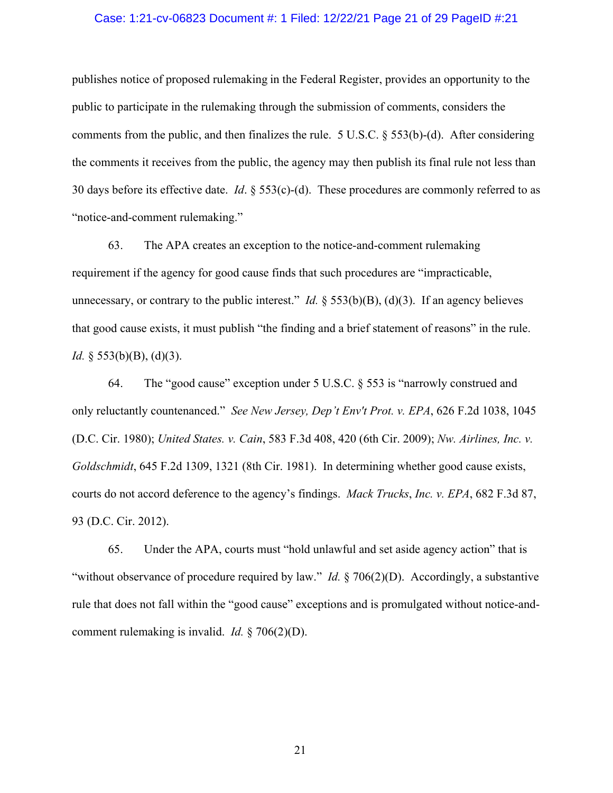#### Case: 1:21-cv-06823 Document #: 1 Filed: 12/22/21 Page 21 of 29 PageID #:21

publishes notice of proposed rulemaking in the Federal Register, provides an opportunity to the public to participate in the rulemaking through the submission of comments, considers the comments from the public, and then finalizes the rule. 5 U.S.C. § 553(b)-(d). After considering the comments it receives from the public, the agency may then publish its final rule not less than 30 days before its effective date. *Id*. § 553(c)-(d). These procedures are commonly referred to as "notice-and-comment rulemaking."

63. The APA creates an exception to the notice-and-comment rulemaking requirement if the agency for good cause finds that such procedures are "impracticable, unnecessary, or contrary to the public interest." *Id.*  $\S$  553(b)(B), (d)(3). If an agency believes that good cause exists, it must publish "the finding and a brief statement of reasons" in the rule. *Id.* § 553(b)(B), (d)(3).

64. The "good cause" exception under 5 U.S.C. § 553 is "narrowly construed and only reluctantly countenanced." *See New Jersey, Dep't Env't Prot. v. EPA*, 626 F.2d 1038, 1045 (D.C. Cir. 1980); *United States. v. Cain*, 583 F.3d 408, 420 (6th Cir. 2009); *Nw. Airlines, Inc. v. Goldschmidt*, 645 F.2d 1309, 1321 (8th Cir. 1981). In determining whether good cause exists, courts do not accord deference to the agency's findings. *Mack Trucks*, *Inc. v. EPA*, 682 F.3d 87, 93 (D.C. Cir. 2012).

65. Under the APA, courts must "hold unlawful and set aside agency action" that is "without observance of procedure required by law." *Id.* § 706(2)(D). Accordingly, a substantive rule that does not fall within the "good cause" exceptions and is promulgated without notice-andcomment rulemaking is invalid. *Id.* § 706(2)(D).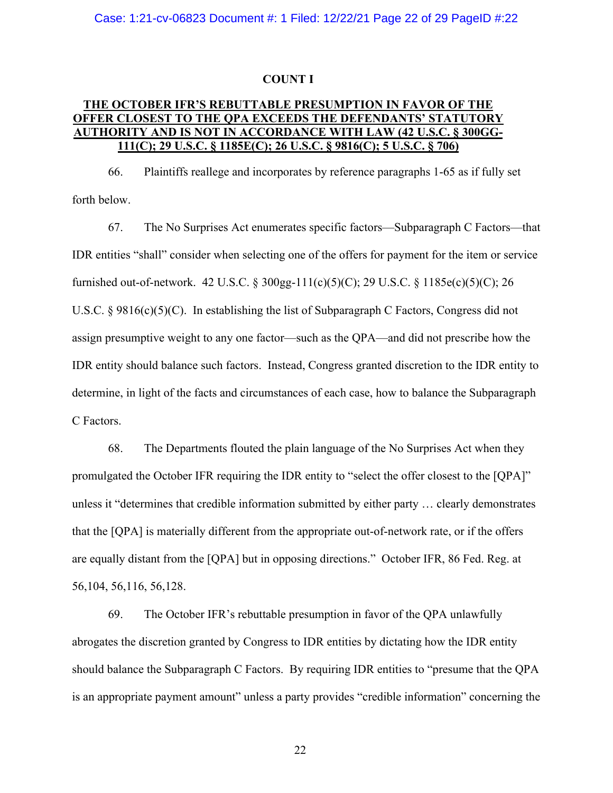#### **COUNT I**

# **THE OCTOBER IFR'S REBUTTABLE PRESUMPTION IN FAVOR OF THE OFFER CLOSEST TO THE QPA EXCEEDS THE DEFENDANTS' STATUTORY AUTHORITY AND IS NOT IN ACCORDANCE WITH LAW (42 U.S.C. § 300GG-111(C); 29 U.S.C. § 1185E(C); 26 U.S.C. § 9816(C); 5 U.S.C. § 706)**

66. Plaintiffs reallege and incorporates by reference paragraphs 1-65 as if fully set forth below.

67. The No Surprises Act enumerates specific factors—Subparagraph C Factors—that IDR entities "shall" consider when selecting one of the offers for payment for the item or service furnished out-of-network. 42 U.S.C. § 300gg-111(c)(5)(C); 29 U.S.C. § 1185e(c)(5)(C); 26 U.S.C. § 9816(c)(5)(C). In establishing the list of Subparagraph C Factors, Congress did not assign presumptive weight to any one factor—such as the QPA—and did not prescribe how the IDR entity should balance such factors. Instead, Congress granted discretion to the IDR entity to determine, in light of the facts and circumstances of each case, how to balance the Subparagraph C Factors.

68. The Departments flouted the plain language of the No Surprises Act when they promulgated the October IFR requiring the IDR entity to "select the offer closest to the [QPA]" unless it "determines that credible information submitted by either party … clearly demonstrates that the [QPA] is materially different from the appropriate out-of-network rate, or if the offers are equally distant from the [QPA] but in opposing directions." October IFR, 86 Fed. Reg. at 56,104, 56,116, 56,128.

69. The October IFR's rebuttable presumption in favor of the QPA unlawfully abrogates the discretion granted by Congress to IDR entities by dictating how the IDR entity should balance the Subparagraph C Factors. By requiring IDR entities to "presume that the QPA is an appropriate payment amount" unless a party provides "credible information" concerning the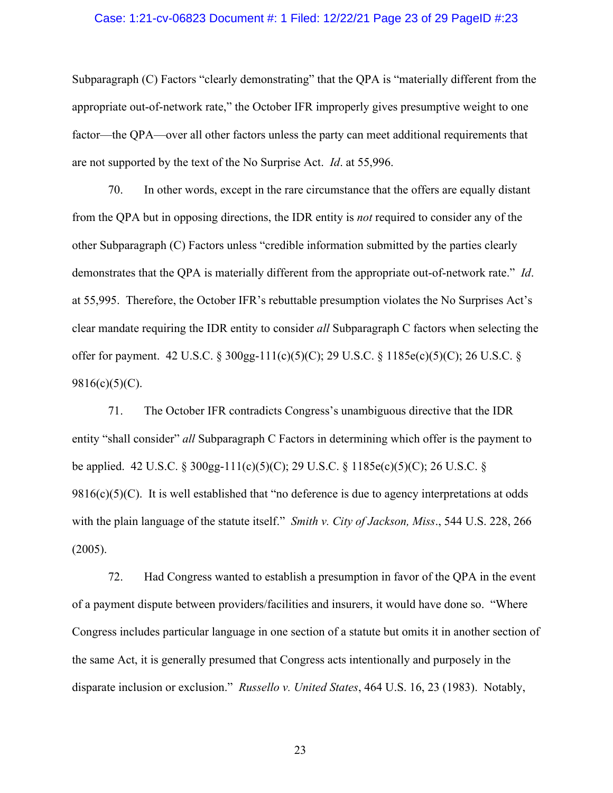#### Case: 1:21-cv-06823 Document #: 1 Filed: 12/22/21 Page 23 of 29 PageID #:23

Subparagraph (C) Factors "clearly demonstrating" that the QPA is "materially different from the appropriate out-of-network rate," the October IFR improperly gives presumptive weight to one factor—the QPA—over all other factors unless the party can meet additional requirements that are not supported by the text of the No Surprise Act. *Id*. at 55,996.

70. In other words, except in the rare circumstance that the offers are equally distant from the QPA but in opposing directions, the IDR entity is *not* required to consider any of the other Subparagraph (C) Factors unless "credible information submitted by the parties clearly demonstrates that the QPA is materially different from the appropriate out-of-network rate." *Id*. at 55,995. Therefore, the October IFR's rebuttable presumption violates the No Surprises Act's clear mandate requiring the IDR entity to consider *all* Subparagraph C factors when selecting the offer for payment. 42 U.S.C. § 300gg-111(c)(5)(C); 29 U.S.C. § 1185e(c)(5)(C); 26 U.S.C. § 9816(c)(5)(C).

71. The October IFR contradicts Congress's unambiguous directive that the IDR entity "shall consider" *all* Subparagraph C Factors in determining which offer is the payment to be applied. 42 U.S.C. § 300gg-111(c)(5)(C); 29 U.S.C. § 1185e(c)(5)(C); 26 U.S.C. §  $9816(c)(5)(C)$ . It is well established that "no deference is due to agency interpretations at odds with the plain language of the statute itself." *Smith v. City of Jackson, Miss*., 544 U.S. 228, 266 (2005).

72. Had Congress wanted to establish a presumption in favor of the QPA in the event of a payment dispute between providers/facilities and insurers, it would have done so. "Where Congress includes particular language in one section of a statute but omits it in another section of the same Act, it is generally presumed that Congress acts intentionally and purposely in the disparate inclusion or exclusion." *Russello v. United States*, 464 U.S. 16, 23 (1983). Notably,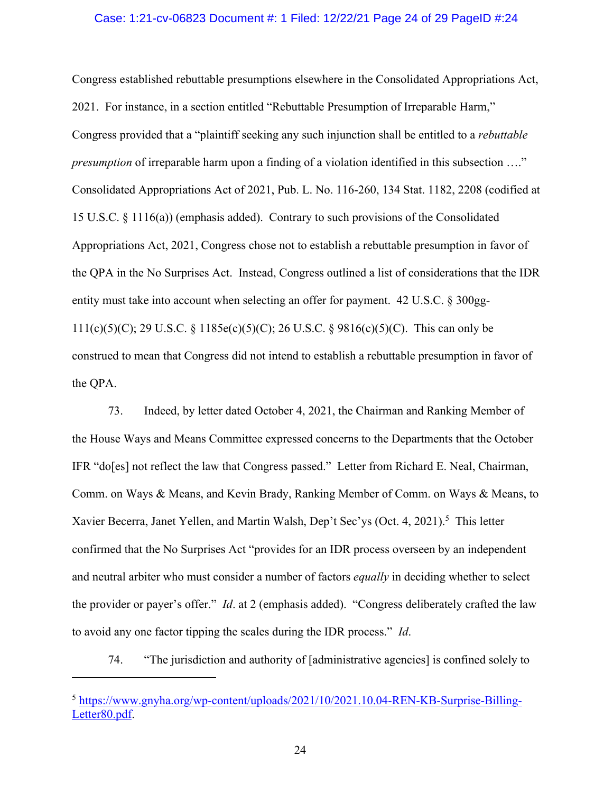#### Case: 1:21-cv-06823 Document #: 1 Filed: 12/22/21 Page 24 of 29 PageID #:24

Congress established rebuttable presumptions elsewhere in the Consolidated Appropriations Act, 2021. For instance, in a section entitled "Rebuttable Presumption of Irreparable Harm," Congress provided that a "plaintiff seeking any such injunction shall be entitled to a *rebuttable presumption* of irreparable harm upon a finding of a violation identified in this subsection ...." Consolidated Appropriations Act of 2021, Pub. L. No. 116-260, 134 Stat. 1182, 2208 (codified at 15 U.S.C. § 1116(a)) (emphasis added). Contrary to such provisions of the Consolidated Appropriations Act, 2021, Congress chose not to establish a rebuttable presumption in favor of the QPA in the No Surprises Act. Instead, Congress outlined a list of considerations that the IDR entity must take into account when selecting an offer for payment. 42 U.S.C. § 300gg-111(c)(5)(C); 29 U.S.C. § 1185e(c)(5)(C); 26 U.S.C. § 9816(c)(5)(C). This can only be construed to mean that Congress did not intend to establish a rebuttable presumption in favor of the QPA.

73. Indeed, by letter dated October 4, 2021, the Chairman and Ranking Member of the House Ways and Means Committee expressed concerns to the Departments that the October IFR "do[es] not reflect the law that Congress passed." Letter from Richard E. Neal, Chairman, Comm. on Ways & Means, and Kevin Brady, Ranking Member of Comm. on Ways & Means, to Xavier Becerra, Janet Yellen, and Martin Walsh, Dep't Sec'ys (Oct. 4, 2021).<sup>5</sup> This letter confirmed that the No Surprises Act "provides for an IDR process overseen by an independent and neutral arbiter who must consider a number of factors *equally* in deciding whether to select the provider or payer's offer." *Id*. at 2 (emphasis added). "Congress deliberately crafted the law to avoid any one factor tipping the scales during the IDR process." *Id*.

74. "The jurisdiction and authority of [administrative agencies] is confined solely to

<sup>5</sup> https://www.gnyha.org/wp-content/uploads/2021/10/2021.10.04-REN-KB-Surprise-Billing-Letter80.pdf.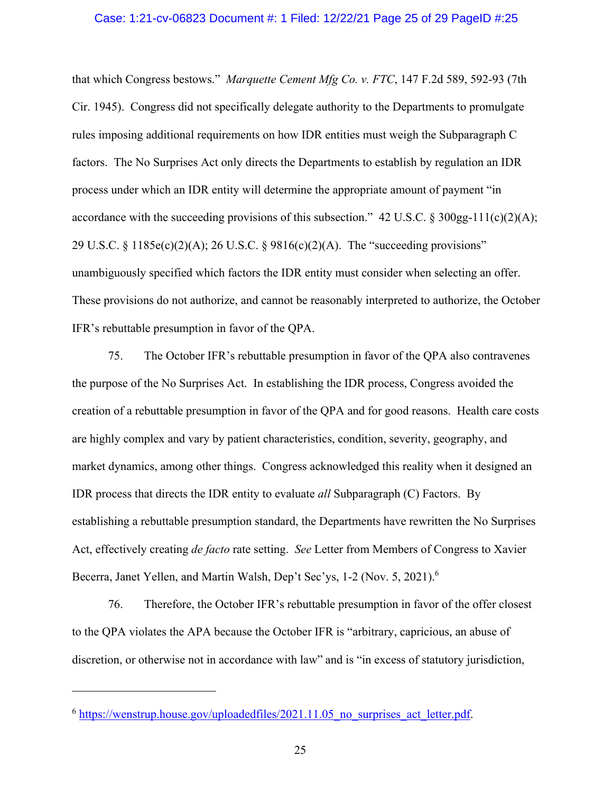#### Case: 1:21-cv-06823 Document #: 1 Filed: 12/22/21 Page 25 of 29 PageID #:25

that which Congress bestows." *Marquette Cement Mfg Co. v. FTC*, 147 F.2d 589, 592-93 (7th Cir. 1945). Congress did not specifically delegate authority to the Departments to promulgate rules imposing additional requirements on how IDR entities must weigh the Subparagraph C factors. The No Surprises Act only directs the Departments to establish by regulation an IDR process under which an IDR entity will determine the appropriate amount of payment "in accordance with the succeeding provisions of this subsection." 42 U.S.C. § 300gg-111(c)(2)(A); 29 U.S.C. § 1185e(c)(2)(A); 26 U.S.C. § 9816(c)(2)(A). The "succeeding provisions" unambiguously specified which factors the IDR entity must consider when selecting an offer. These provisions do not authorize, and cannot be reasonably interpreted to authorize, the October IFR's rebuttable presumption in favor of the QPA.

75. The October IFR's rebuttable presumption in favor of the QPA also contravenes the purpose of the No Surprises Act. In establishing the IDR process, Congress avoided the creation of a rebuttable presumption in favor of the QPA and for good reasons. Health care costs are highly complex and vary by patient characteristics, condition, severity, geography, and market dynamics, among other things. Congress acknowledged this reality when it designed an IDR process that directs the IDR entity to evaluate *all* Subparagraph (C) Factors. By establishing a rebuttable presumption standard, the Departments have rewritten the No Surprises Act, effectively creating *de facto* rate setting. *See* Letter from Members of Congress to Xavier Becerra, Janet Yellen, and Martin Walsh, Dep't Sec'ys, 1-2 (Nov. 5, 2021).<sup>6</sup>

76. Therefore, the October IFR's rebuttable presumption in favor of the offer closest to the QPA violates the APA because the October IFR is "arbitrary, capricious, an abuse of discretion, or otherwise not in accordance with law" and is "in excess of statutory jurisdiction,

 $6$  https://wenstrup.house.gov/uploadedfiles/2021.11.05 no surprises act letter.pdf.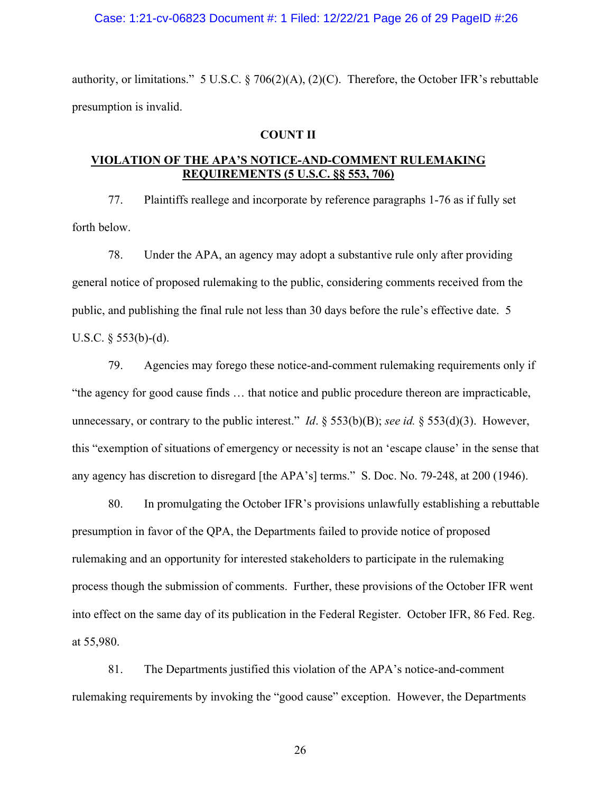#### Case: 1:21-cv-06823 Document #: 1 Filed: 12/22/21 Page 26 of 29 PageID #:26

authority, or limitations." 5 U.S.C. § 706(2)(A), (2)(C). Therefore, the October IFR's rebuttable presumption is invalid.

# **COUNT II**

# **VIOLATION OF THE APA'S NOTICE-AND-COMMENT RULEMAKING REQUIREMENTS (5 U.S.C. §§ 553, 706)**

77. Plaintiffs reallege and incorporate by reference paragraphs 1-76 as if fully set forth below.

78. Under the APA, an agency may adopt a substantive rule only after providing general notice of proposed rulemaking to the public, considering comments received from the public, and publishing the final rule not less than 30 days before the rule's effective date. 5 U.S.C.  $\S$  553(b)-(d).

79. Agencies may forego these notice-and-comment rulemaking requirements only if "the agency for good cause finds … that notice and public procedure thereon are impracticable, unnecessary, or contrary to the public interest." *Id*. § 553(b)(B); *see id.* § 553(d)(3). However, this "exemption of situations of emergency or necessity is not an 'escape clause' in the sense that any agency has discretion to disregard [the APA's] terms." S. Doc. No. 79-248, at 200 (1946).

80. In promulgating the October IFR's provisions unlawfully establishing a rebuttable presumption in favor of the QPA, the Departments failed to provide notice of proposed rulemaking and an opportunity for interested stakeholders to participate in the rulemaking process though the submission of comments. Further, these provisions of the October IFR went into effect on the same day of its publication in the Federal Register. October IFR, 86 Fed. Reg. at 55,980.

81. The Departments justified this violation of the APA's notice-and-comment rulemaking requirements by invoking the "good cause" exception. However, the Departments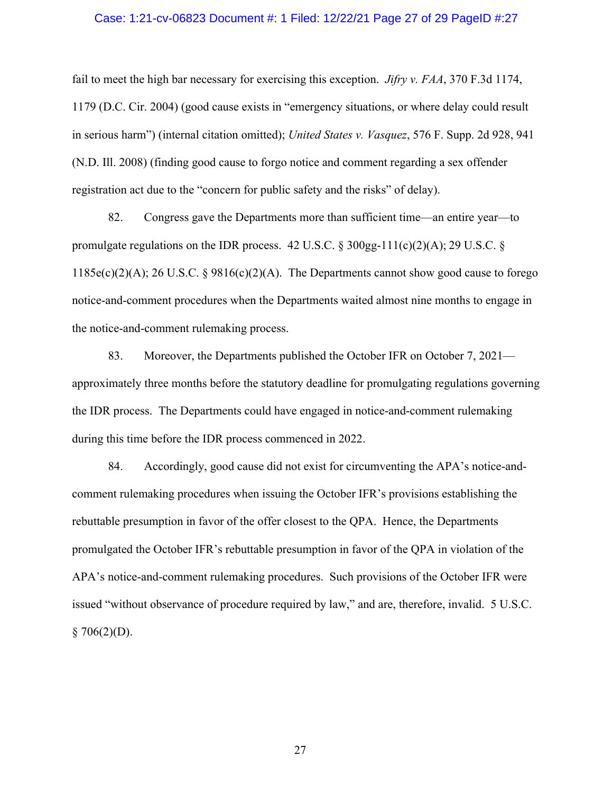#### Case: 1:21-cv-06823 Document #: 1 Filed: 12/22/21 Page 27 of 29 PageID #:27

fail to meet the high bar necessary for exercising this exception. *Jifry v. FAA*, 370 F.3d 1174, 1179 (D.C. Cir. 2004) (good cause exists in "emergency situations, or where delay could result in serious harm") (internal citation omitted); *United States v. Vasquez*, 576 F. Supp. 2d 928, 941 (N.D. Ill. 2008) (finding good cause to forgo notice and comment regarding a sex offender registration act due to the "concern for public safety and the risks" of delay).

82. Congress gave the Departments more than sufficient time—an entire year—to promulgate regulations on the IDR process. 42 U.S.C.  $\frac{\delta 300gg-111(c)(2)(A); 29 U.S.C. \delta}{\delta}$ 1185e(c)(2)(A); 26 U.S.C. § 9816(c)(2)(A). The Departments cannot show good cause to forego notice-and-comment procedures when the Departments waited almost nine months to engage in the notice-and-comment rulemaking process.

83. Moreover, the Departments published the October IFR on October 7, 2021 approximately three months before the statutory deadline for promulgating regulations governing the IDR process. The Departments could have engaged in notice-and-comment rulemaking during this time before the IDR process commenced in 2022.

84. Accordingly, good cause did not exist for circumventing the APA's notice-andcomment rulemaking procedures when issuing the October IFR's provisions establishing the rebuttable presumption in favor of the offer closest to the QPA. Hence, the Departments promulgated the October IFR's rebuttable presumption in favor of the QPA in violation of the APA's notice-and-comment rulemaking procedures. Such provisions of the October IFR were issued "without observance of procedure required by law," and are, therefore, invalid. 5 U.S.C.  $$706(2)(D).$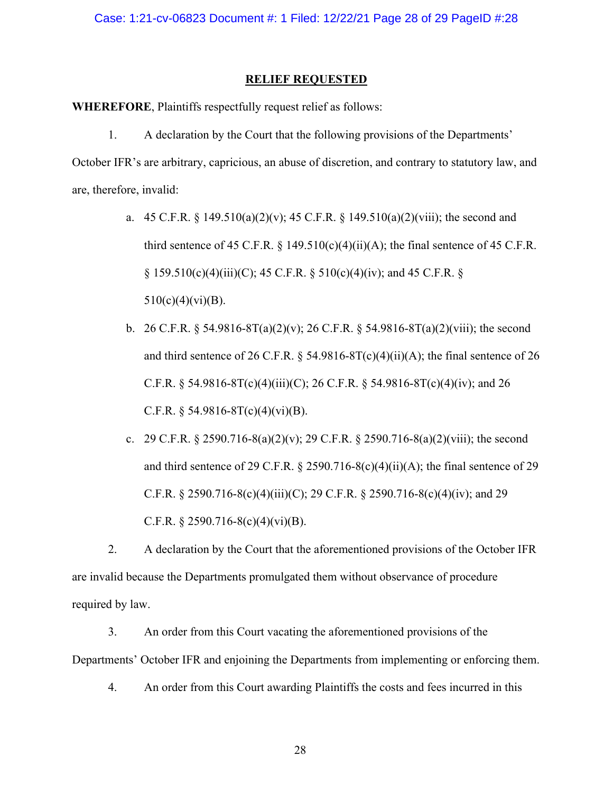# **RELIEF REQUESTED**

**WHEREFORE**, Plaintiffs respectfully request relief as follows:

1. A declaration by the Court that the following provisions of the Departments' October IFR's are arbitrary, capricious, an abuse of discretion, and contrary to statutory law, and are, therefore, invalid:

- a. 45 C.F.R. § 149.510(a)(2)(v); 45 C.F.R. § 149.510(a)(2)(viii); the second and third sentence of 45 C.F.R.  $\S$  149.510(c)(4)(ii)(A); the final sentence of 45 C.F.R.  $\S$  159.510(c)(4)(iii)(C); 45 C.F.R.  $\S$  510(c)(4)(iv); and 45 C.F.R.  $\S$  $510(c)(4)(vi)(B)$ .
- b. 26 C.F.R. § 54.9816-8T(a)(2)(v); 26 C.F.R. § 54.9816-8T(a)(2)(viii); the second and third sentence of 26 C.F.R.  $\S$  54.9816-8T(c)(4)(ii)(A); the final sentence of 26 C.F.R. § 54.9816-8T(c)(4)(iii)(C); 26 C.F.R. § 54.9816-8T(c)(4)(iv); and 26 C.F.R.  $\S$  54.9816-8T(c)(4)(vi)(B).
- c. 29 C.F.R. § 2590.716-8(a)(2)(v); 29 C.F.R. § 2590.716-8(a)(2)(viii); the second and third sentence of 29 C.F.R.  $\S 2590.716-8(c)(4)(ii)(A)$ ; the final sentence of 29 C.F.R. § 2590.716-8(c)(4)(iii)(C); 29 C.F.R. § 2590.716-8(c)(4)(iv); and 29 C.F.R.  $\S 2590.716-8(c)(4)(vi)(B)$ .

2. A declaration by the Court that the aforementioned provisions of the October IFR are invalid because the Departments promulgated them without observance of procedure required by law.

3. An order from this Court vacating the aforementioned provisions of the Departments' October IFR and enjoining the Departments from implementing or enforcing them.

4. An order from this Court awarding Plaintiffs the costs and fees incurred in this